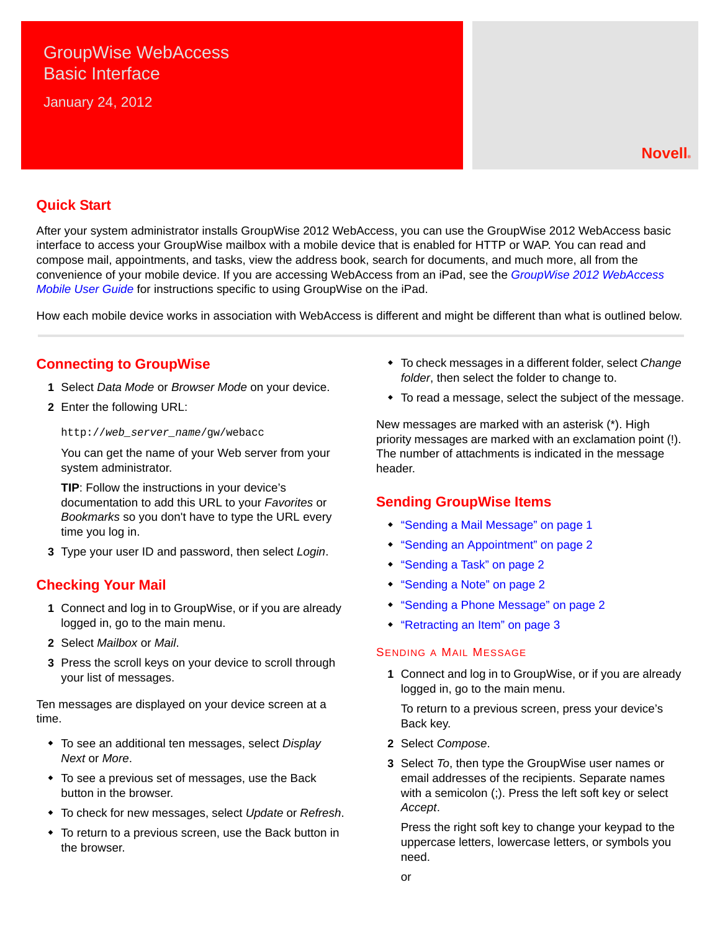# GroupWise WebAccess Basic Interface

January 24, 2012

### **Quick Start**

After your system administrator installs GroupWise 2012 WebAccess, you can use the GroupWise 2012 WebAccess basic interface to access your GroupWise mailbox with a mobile device that is enabled for HTTP or WAP. You can read and compose mail, appointments, and tasks, view the address book, search for documents, and much more, all from the convenience of your mobile device. If you are accessing WebAccess from an iPad, see the *GroupWise 2012 WebAccess Mobile User Guide* for instructions specific to using GroupWise on the iPad.

How each mobile device works in association with WebAccess is different and might be different than what is outlined below.

### **Connecting to GroupWise**

- **1** Select *Data Mode* or *Browser Mode* on your device.
- **2** Enter the following URL:

http://*web\_server\_name*/gw/webacc

You can get the name of your Web server from your system administrator.

**TIP**: Follow the instructions in your device's documentation to add this URL to your *Favorites* or *Bookmarks* so you don't have to type the URL every time you log in.

**3** Type your user ID and password, then select *Login*.

### **Checking Your Mail**

- **1** Connect and log in to GroupWise, or if you are already logged in, go to the main menu.
- **2** Select *Mailbox* or *Mail*.
- **3** Press the scroll keys on your device to scroll through your list of messages.

Ten messages are displayed on your device screen at a time.

- To see an additional ten messages, select *Display Next* or *More*.
- To see a previous set of messages, use the Back button in the browser.
- To check for new messages, select *Update* or *Refresh*.
- To return to a previous screen, use the Back button in the browser.
- To check messages in a different folder, select *Change folder*, then select the folder to change to.
- To read a message, select the subject of the message.

New messages are marked with an asterisk (\*). High priority messages are marked with an exclamation point (!). The number of attachments is indicated in the message header.

### **Sending GroupWise Items**

- ["Sending a Mail Message" on page 1](#page-0-0)
- ["Sending an Appointment" on page 2](#page-1-0)
- ["Sending a Task" on page 2](#page-1-1)
- ["Sending a Note" on page 2](#page-1-2)
- ["Sending a Phone Message" on page 2](#page-1-3)
- ["Retracting an Item" on page 3](#page-2-0)

### <span id="page-0-0"></span>SENDING A MAIL MESSAGE

**1** Connect and log in to GroupWise, or if you are already logged in, go to the main menu.

To return to a previous screen, press your device's Back key.

- **2** Select *Compose*.
- <span id="page-0-1"></span>**3** Select *To*, then type the GroupWise user names or email addresses of the recipients. Separate names with a semicolon (;). Press the left soft key or select *Accept*.

Press the right soft key to change your keypad to the uppercase letters, lowercase letters, or symbols you need.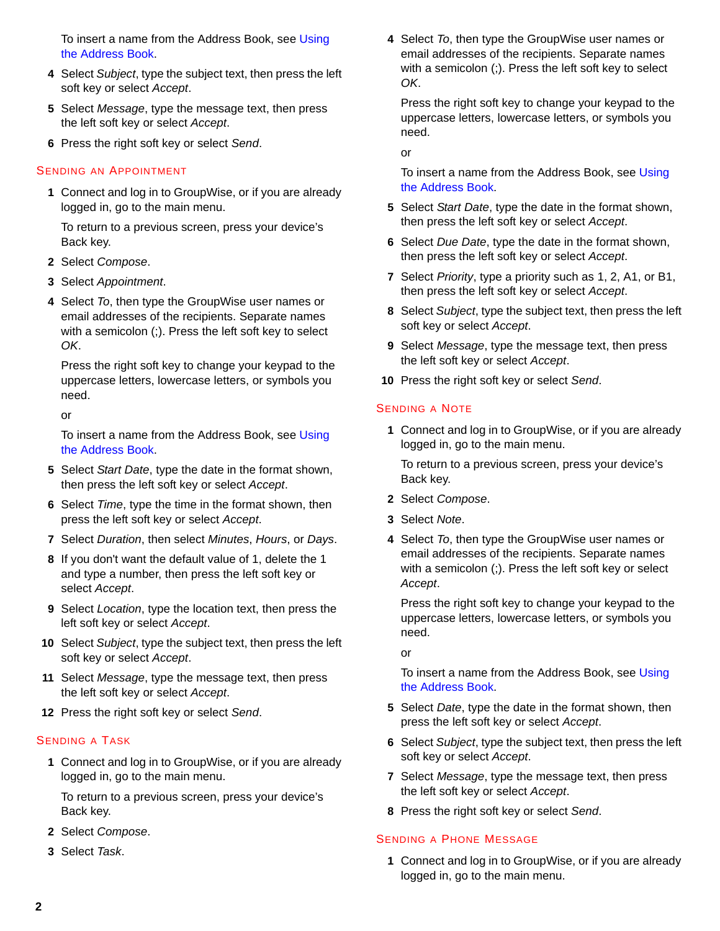To insert a name from the Address Book, see [Using](#page-2-1)  [the Address Book.](#page-2-1)

- **4** Select *Subject*, type the subject text, then press the left soft key or select *Accept*.
- <span id="page-1-4"></span>**5** Select *Message*, type the message text, then press the left soft key or select *Accept*.
- <span id="page-1-5"></span>**6** Press the right soft key or select *Send*.

#### <span id="page-1-0"></span>SENDING AN APPOINTMENT

**1** Connect and log in to GroupWise, or if you are already logged in, go to the main menu.

To return to a previous screen, press your device's Back key.

- **2** Select *Compose*.
- **3** Select *Appointment*.
- **4** Select *To*, then type the GroupWise user names or email addresses of the recipients. Separate names with a semicolon (;). Press the left soft key to select *OK*.

Press the right soft key to change your keypad to the uppercase letters, lowercase letters, or symbols you need.

or

To insert a name from the Address Book, see [Using](#page-2-1)  [the Address Book.](#page-2-1)

- **5** Select *Start Date*, type the date in the format shown, then press the left soft key or select *Accept*.
- **6** Select *Time*, type the time in the format shown, then press the left soft key or select *Accept*.
- **7** Select *Duration*, then select *Minutes*, *Hours*, or *Days*.
- **8** If you don't want the default value of 1, delete the 1 and type a number, then press the left soft key or select *Accept*.
- **9** Select *Location*, type the location text, then press the left soft key or select *Accept*.
- **10** Select *Subject*, type the subject text, then press the left soft key or select *Accept*.
- **11** Select *Message*, type the message text, then press the left soft key or select *Accept*.
- **12** Press the right soft key or select *Send*.

#### <span id="page-1-1"></span>SENDING A TASK

**1** Connect and log in to GroupWise, or if you are already logged in, go to the main menu.

To return to a previous screen, press your device's Back key.

- **2** Select *Compose*.
- **3** Select *Task*.

**4** Select *To*, then type the GroupWise user names or email addresses of the recipients. Separate names with a semicolon (;). Press the left soft key to select *OK*.

Press the right soft key to change your keypad to the uppercase letters, lowercase letters, or symbols you need.

or

To insert a name from the Address Book, see [Using](#page-2-1)  [the Address Book.](#page-2-1)

- **5** Select *Start Date*, type the date in the format shown, then press the left soft key or select *Accept*.
- **6** Select *Due Date*, type the date in the format shown, then press the left soft key or select *Accept*.
- **7** Select *Priority*, type a priority such as 1, 2, A1, or B1, then press the left soft key or select *Accept*.
- **8** Select *Subject*, type the subject text, then press the left soft key or select *Accept*.
- **9** Select *Message*, type the message text, then press the left soft key or select *Accept*.
- **10** Press the right soft key or select *Send*.

#### <span id="page-1-2"></span>SENDING A NOTE

**1** Connect and log in to GroupWise, or if you are already logged in, go to the main menu.

To return to a previous screen, press your device's Back key.

- **2** Select *Compose*.
- **3** Select *Note*.
- **4** Select *To*, then type the GroupWise user names or email addresses of the recipients. Separate names with a semicolon (;). Press the left soft key or select *Accept*.

Press the right soft key to change your keypad to the uppercase letters, lowercase letters, or symbols you need.

or

To insert a name from the Address Book, see Using [the Address Book.](#page-2-1)

- **5** Select *Date*, type the date in the format shown, then press the left soft key or select *Accept*.
- **6** Select *Subject*, type the subject text, then press the left soft key or select *Accept*.
- **7** Select *Message*, type the message text, then press the left soft key or select *Accept*.
- **8** Press the right soft key or select *Send*.

#### <span id="page-1-3"></span>SENDING A PHONE MESSAGE

**1** Connect and log in to GroupWise, or if you are already logged in, go to the main menu.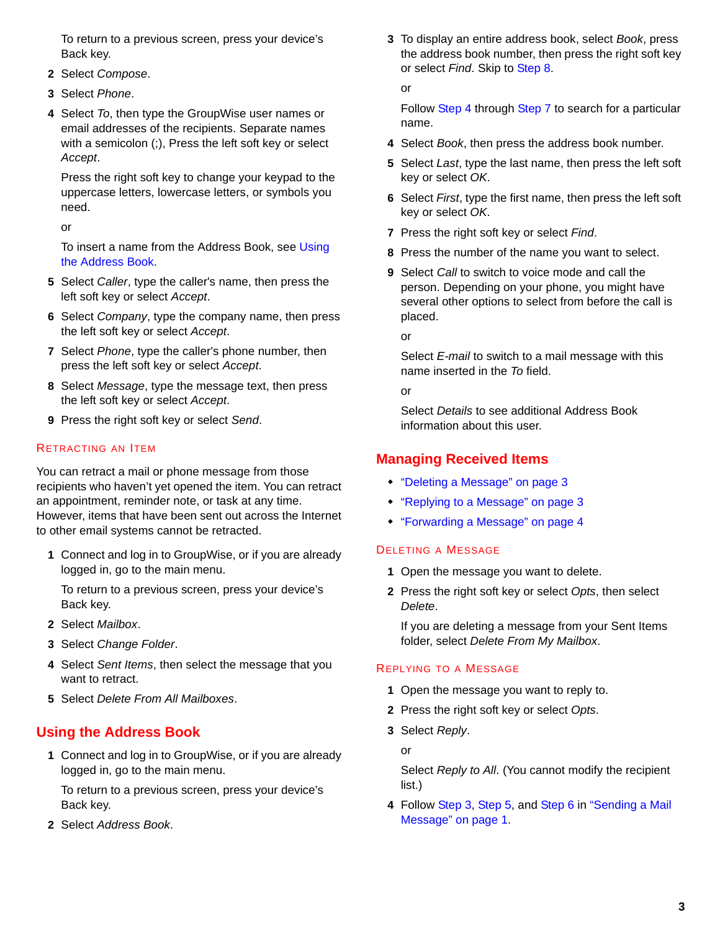To return to a previous screen, press your device's Back key.

- **2** Select *Compose*.
- **3** Select *Phone*.
- **4** Select *To*, then type the GroupWise user names or email addresses of the recipients. Separate names with a semicolon (;), Press the left soft key or select *Accept*.

Press the right soft key to change your keypad to the uppercase letters, lowercase letters, or symbols you need.

or

To insert a name from the Address Book, see [Using](#page-2-1)  [the Address Book.](#page-2-1)

- **5** Select *Caller*, type the caller's name, then press the left soft key or select *Accept*.
- **6** Select *Company*, type the company name, then press the left soft key or select *Accept*.
- **7** Select *Phone*, type the caller's phone number, then press the left soft key or select *Accept*.
- **8** Select *Message*, type the message text, then press the left soft key or select *Accept*.
- **9** Press the right soft key or select *Send*.

### <span id="page-2-0"></span>RETRACTING AN ITEM

You can retract a mail or phone message from those recipients who haven't yet opened the item. You can retract an appointment, reminder note, or task at any time. However, items that have been sent out across the Internet to other email systems cannot be retracted.

**1** Connect and log in to GroupWise, or if you are already logged in, go to the main menu.

To return to a previous screen, press your device's Back key.

- **2** Select *Mailbox*.
- **3** Select *Change Folder*.
- **4** Select *Sent Items*, then select the message that you want to retract.
- **5** Select *Delete From All Mailboxes*.

# <span id="page-2-1"></span>**Using the Address Book**

**1** Connect and log in to GroupWise, or if you are already logged in, go to the main menu.

To return to a previous screen, press your device's Back key.

**2** Select *Address Book*.

**3** To display an entire address book, select *Book*, press the address book number, then press the right soft key or select *Find*. Skip to [Step 8](#page-2-2).

or

Follow [Step 4](#page-2-3) through [Step 7](#page-2-4) to search for a particular name.

- <span id="page-2-3"></span>**4** Select *Book*, then press the address book number.
- **5** Select *Last*, type the last name, then press the left soft key or select *OK*.
- **6** Select *First*, type the first name, then press the left soft key or select *OK*.
- <span id="page-2-4"></span>**7** Press the right soft key or select *Find*.
- <span id="page-2-2"></span>**8** Press the number of the name you want to select.
- **9** Select *Call* to switch to voice mode and call the person. Depending on your phone, you might have several other options to select from before the call is placed.

or

Select *E-mail* to switch to a mail message with this name inserted in the *To* field.

or

Select *Details* to see additional Address Book information about this user.

# **Managing Received Items**

- ["Deleting a Message" on page 3](#page-2-5)
- ["Replying to a Message" on page 3](#page-2-6)
- ["Forwarding a Message" on page 4](#page-3-0)

### <span id="page-2-5"></span>DELETING A MESSAGE

- **1** Open the message you want to delete.
- **2** Press the right soft key or select *Opts*, then select *Delete*.

If you are deleting a message from your Sent Items folder, select *Delete From My Mailbox*.

### <span id="page-2-6"></span>REPLYING TO A MESSAGE

- **1** Open the message you want to reply to.
- **2** Press the right soft key or select *Opts*.
- **3** Select *Reply*.

or

Select *Reply to All*. (You cannot modify the recipient list.)

**4** Follow [Step 3](#page-0-1), [Step 5](#page-1-4), and [Step 6](#page-1-5) in ["Sending a Mail](#page-0-0)  [Message" on page 1.](#page-0-0)